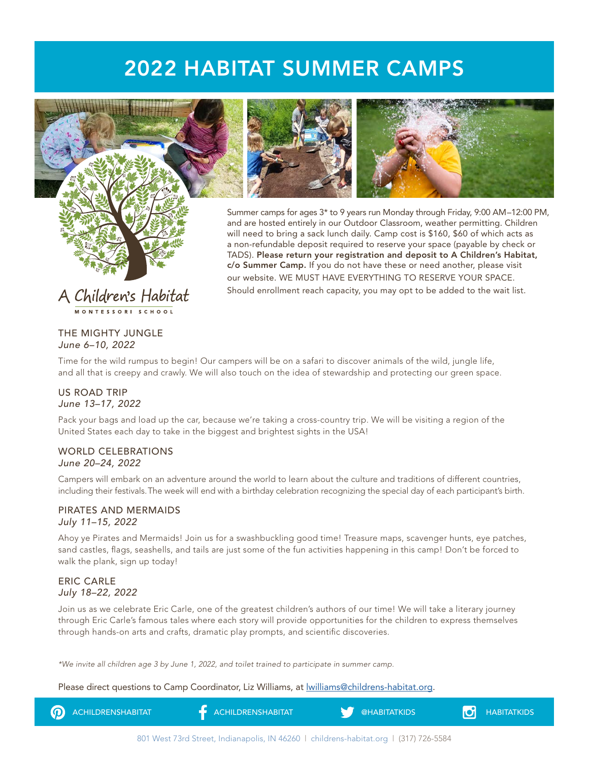# 2022 HABITAT SUMMER CAMPS







Summer camps for ages 3\* to 9 years run Monday through Friday, 9:00 AM–12:00 PM, and are hosted entirely in our Outdoor Classroom, weather permitting. Children will need to bring a sack lunch daily. Camp cost is \$160, \$60 of which acts as a non-refundable deposit required to reserve your space (payable by check or TADS). Please return your registration and deposit to A Children's Habitat, c/o Summer Camp. If you do not have these or need another, please visit our website. WE MUST HAVE EVERYTHING TO RESERVE YOUR SPACE. Should enrollment reach capacity, you may opt to be added to the wait list.

# THE MIGHTY JUNGLE *June 6–10, 2022*

Time for the wild rumpus to begin! Our campers will be on a safari to discover animals of the wild, jungle life, and all that is creepy and crawly. We will also touch on the idea of stewardship and protecting our green space.

#### US ROAD TRIP *June 13–17, 2022*

Pack your bags and load up the car, because we're taking a cross-country trip. We will be visiting a region of the United States each day to take in the biggest and brightest sights in the USA!

#### WORLD CELEBRATIONS *June 20–24, 2022*

Campers will embark on an adventure around the world to learn about the culture and traditions of different countries, including their festivals. The week will end with a birthday celebration recognizing the special day of each participant's birth.

#### PIRATES AND MERMAIDS *July 11–15, 2022*

Ahoy ye Pirates and Mermaids! Join us for a swashbuckling good time! Treasure maps, scavenger hunts, eye patches, sand castles, flags, seashells, and tails are just some of the fun activities happening in this camp! Don't be forced to walk the plank, sign up today!

# ERIC CARLE *July 18–22, 2022*

Join us as we celebrate Eric Carle, one of the greatest children's authors of our time! We will take a literary journey through Eric Carle's famous tales where each story will provide opportunities for the children to express themselves through hands-on arts and crafts, dramatic play prompts, and scientific discoveries.

*\*We invite all children age 3 by June 1, 2022, and toilet trained to participate in summer camp.*

Please direct questions to Camp Coordinator, Liz Williams, at *lwilliams@childrens-habitat.org.*